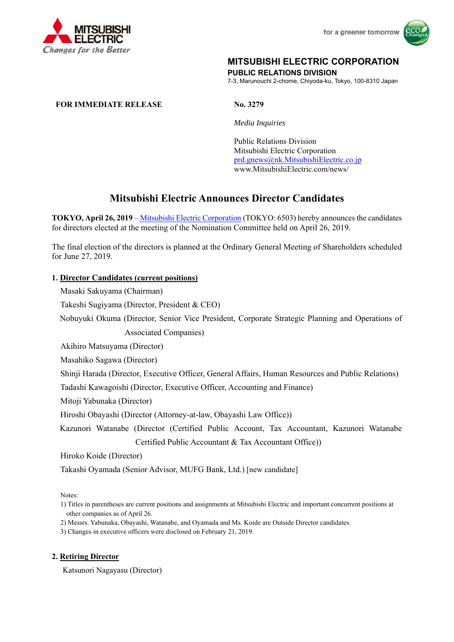

for a greener tomorrow



## **MITSUBISHI ELECTRIC CORPORATION**

**PUBLIC RELATIONS DIVISION** 

7-3, Marunouchi 2-chome, Chiyoda-ku, Tokyo, 100-8310 Japan

### **FOR IMMEDIATE RELEASE No. 3279**

 *Media Inquiries*

 Public Relations Division Mitsubishi Electric Corporation prd.gnews@nk.MitsubishiElectric.co.jp www.MitsubishiElectric.com/news/

# **Mitsubishi Electric Announces Director Candidates**

**TOKYO, April 26, 2019** – Mitsubishi Electric Corporation (TOKYO: 6503) hereby announces the candidates for directors elected at the meeting of the Nomination Committee held on April 26, 2019.

The final election of the directors is planned at the Ordinary General Meeting of Shareholders scheduled for June 27, 2019.

### **1. Director Candidates (current positions)**

Masaki Sakuyama (Chairman)

Takeshi Sugiyama (Director, President & CEO)

Nobuyuki Okuma (Director, Senior Vice President, Corporate Strategic Planning and Operations of Associated Companies)

Akihiro Matsuyama (Director)

Masahiko Sagawa (Director)

Shinji Harada (Director, Executive Officer, General Affairs, Human Resources and Public Relations)

Tadashi Kawagoishi (Director, Executive Officer, Accounting and Finance)

Mitoji Yabunaka (Director)

Hiroshi Obayashi (Director (Attorney-at-law, Obayashi Law Office))

Kazunori Watanabe (Director (Certified Public Account, Tax Accountant, Kazunori Watanabe Certified Public Accountant & Tax Accountant Office))

Hiroko Koide (Director)

Takashi Oyamada (Senior Advisor, MUFG Bank, Ltd.) [new candidate]

Notes:

1) Titles in parentheses are current positions and assignments at Mitsubishi Electric and important concurrent positions at other companies as of April 26.

2) Messrs. Yabunaka, Obayashi, Watanabe, and Oyamada and Ms. Koide are Outside Director candidates.

3) Changes in executive officers were disclosed on February 21, 2019.

#### **2. Retiring Director**

Katsunori Nagayasu (Director)